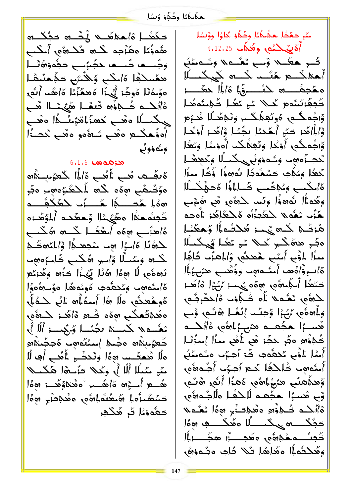## هِدَّىدًا وحُكَّوْ وْسُا

حَكَمًا هُ/هلاَهُــــلا لِهُــــوه حَجَّـُـــوه هُهِ وَمَا وَهَٰٓءَهِم كَلّهِ وَكَلّهُ مِنْ أَسْكُب وَجَّىــــها حُـــــها حَجَّــَمْ حَجَّـه وَوَهُ لَـــا مَعْسَكِفًا هَا كُلِّي وَلِلْنَسِ حَكِّمتُهُا مِهَٰٓئًا هَوِجَّزَ ﴾ [الْمَحْزَمَٰٓا هَاهُم أَلَّهُ إِ هْأَلَـــم خُـــجْوُو خُعفَــا هَيْجَــال مُب رحةُه الْجُمْنْةِ لِمَتْتَمَتْكُمْ لِمَسْتَمْسِيْنِ أُهوُّهكُــع هڤب سُــوهُ هو هڤب ٽجــزُا **وَحُدُوْوَبُ** 

 $6.1.6$   $\sim$   $\infty$ 

ەبكىمە ھَب نَاھُب وْالْمَال كَعبَرْبِ وْلَهُ ەوَّضُعُبِ 30% كُلُّ عَلَّكَمُ مَنْ 20% مَ ههُا هُدُ اُ هُـ زُبِ لِاهْكُمْ ـه دَّجِبُهِ هِـٰهُمْ ) هُمَهُكُمْ أَعْلَىٰ مِنْهُ مِنْهُمْ وَمِنْهُمْ وَمِنْهُمْ مِنْهُمْ مِنْهِ مِنْ هُاهنَ بِ وَهُوَ أَحْقَقُوا لَكَ وَ هُكْمَب لِحْمُنُا هَا أَبِهَا مِن مُجْعَدَا وَالْمَمْ وَحَكِمَ كْـــرُه ومَمْـــلَا وَّامِيرِ رَهُكُمْــعِ شَامِ وَرَمِي يُوهُ مِنْ الْمَرْضَ الْمَرْضَ لَا مُؤْمَّدَ الْمَرْكَبَ وَهُدَكُمْ لَهُ مِنْ الْمَرْضَى كَامِنُوهِم وَعُدِهُوم وَجِئْعِهَا وَجُمِعَهُمْ وَهْتَدَهُمْ وَلَمْ أَمَّا أَمْدَيْرَاهَ عَلَى حَسَمَةً وَهُدِكُمِكُم وَوَو ذَرِهِ وَأَهْدَ لِحَدَّةُ و مْهُـــملا كْــــٰلا سَكُــا وَٰٰٰہِكُمـــ; ٱلْل لَ كَعبُمبِكُم معْمَدِ المَسْتَمِينَ وَجِجَمَعُ ولًا مُعصَّــب 30\$ وَيُحصُّــ أَمُّـــ أَفِي لًا مِّمِ مَمْلًا أَلَّا أَبَّ وَكَلًّا تَزَمُّوا هَكُمْلًا هُــــمِ أَـــبِّهِ هَ/هُـــب أو هُذا وَهُن موهُ ا خَمَّعَهُ وَأَمَّاهِ مَعْنَدُ الْمَعْنَ وَهُدَادَ بِهِ وَالْمَحْمَدِ حَعَّەوْمُا ثَہٖ مَّكْفِ

مَّدٍ حَقْحًا حَذَّمَتْنَا وَحُذَّوْ خَاوُا وَوْسُا 4.12.25  $\sim 25$  وَهُكُمُوا  $\sim 6$ كَبِ هِكَمِيلا وْسِي يْهُــهِلا وِشُــهِمْكُي ألمستكريركم معتك ستثقم بمستكهندأ خُجِفَ;تُسُمِ كَلِّهُ يَجْ يَعُلُ خَدْسَهُ هُلْ وَاجُمكُم، هُوبُعِكُكُبْ وِلْكِلْهُمْ لَا هُدْمِ وْۤابِٱاهُد; حَمِّ ٱهۡحَمَٰا بِجَمَا وۡاهَٰد; أَوۡحُـا وَاجُمكُم أَوْخُا وِنَعِيْمَكُم أُهوَمُا وِنَعْدَا لمكبر المستكررون وثوقاتها مواه وتحكم كَعُدًا وِمُبْآمِدٍ حَسْعَتُوجًا يَدُوهُوا وَّخُلَ مِيزًا هُا كُبِ وَعُلِّصَبِ ضَلَاءُ الْهُجَهْكُمُا وِهُداً اللَّهُ وَأَوْ وَكُسَدٍ كُلُّهُ مِنْ هُمْ مُؤْسِي هَّنُو مْعُوما لِلطَّجْزُهِ وَلِلطَّاهَ: لِأُوجِهِ هْزَخَــمِ كُـــْتَ مِّـــحِبِّــزِ مَــدَيْمَةٍ مِّــمَّــْمَــدَ مِّــدَ مِّــدَ مِّــدَ مِّــدَ ہ کے میں اس کے کوئی کے مناسک مىرًا £وَّى أَمَّى هُعِدَّى وَۢالِحِزَّى قَافُا كَالَبَوْأَاهُهَا أَمِنُـدِهِا وَوُّهْمَــ مِرْمِيْٓ أَا تَمَعُدُا أَيَبُهُمْ مِنْ هَ مِنْ مِنْ مِنْ أَسْتَمَاءَ لِهُ مَعْدِمٍ لَمْهِ وَالْمَجْمَعِينَ مِنْ الْمَحْبِرِجُمِينَ وِلُهِهُمْ رَبُّمْ الْوَجِنُّسِ إِنَّهُمَا هُنَّصٍ وَْب هُسبُرا مِجُمِد مِنْ بِبِهِهُم وَٱلْمَدِ كُلُّوْو وكُبِ حَكِّز هُي أُهُي مِعزًا إِمْزُنْتَا أَسْلَ لَمْوِ مُحَقَّوب خُزِ أَجِيرَت وشَوْمَتُكُ أَسْوَوِبَ خَالِحِفَا كَبِ أُجِيَءٍ أُجُبُورُونَ وَحِدَاهِمًا وَحَمَيْ اللَّهُ وَمَا أَنَّهُ وَمُدَّمَرَ وْبِ مْسِيَرًا هجُعِـهِ لْأَحْجَٰـا وَلَأَجَّـهِ وَوَى ةْأَلَمْكُمْ خُلِجْوَهُمْ وَهُدِكْنُو هِوَا يْعُسُمْلَا تَجَكْدُ مِنْ كَيْمَةَ الْمُسْتَكِنِ مِنْ كَيْبَ خَجِبٌ مِمْجَمِهَى وَهُجِبَ أَرْ هِجَبَ فَلَ وهُكِتُولًا وهُاهْا تُكِ قُابٍ وشُووهُ،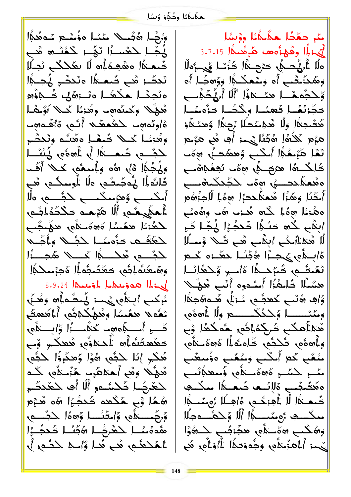هِدَّىدًا وحُكَّوْ وْسُا

وُرِجْها هُجُمِيلًا مَنْصًا وَوُمْسِعٍ سُوهُدًا لُجِمَا لِكَعْسَاُ لَوْجَةَ كُعُنْتُ هُبِ ضَعِندًا مِشْهِهُ بِهُو لًا بِعَجِنَكِ نَجِبُلا لَحكُــٰ; هُــِ شَــْعــٰدُا هلَـٰدشَــٰ; خُـجــٰدُا ەنْجنْسا ھڭھُسا ەنْسىزەْي خُسىرْزُرى هْدُيْنَ وَكُمِنُوهِ، وَهُزْمًا كَمِينَا أَوُّمِهْمًا ةُأُولُوهِ لِكَمْعَظِيلاً أَنَّمَ وَأَكْتَمُوهَا وهُنسًا كَـــلا خُـمهْــل ههُنــُـه وتَـدَكْــمِ لَّكَنُّنُ رِهِ هُمَا ﴾ لَمُسْمَدُ رِمَــُهُــا وِيُجُمَّا ةَل ۞ه وِيُمعِقَعِ كَمِلاً أَفَمِ صَّابُهُ إِلَّا مُحْمَدُهِ وَاللَّهُ الْمِسكُنَّى وَسَلَّمَ أَمْكُسب وَهيَممكُسب لحقَّسم هُل رَصَةُ الْمَكْتَ مَـهِبَمْ الْأَمْرِهُمْ أَسْتَمَائِكُمْ وَسَمَّتُهُمْ أَسْتَمَرَّضَ لْمَعْزِمًا هِمَّسُا هُ٥٥ َـٰذُو، هِهَٰىجَـب لمكَفَّــم حَزُّه مُــا لِكِثَــلا ولِمُكَــد لِحَجَّــــمِ، مُحَـــــــهُ! حَـــــلا هَجــــزُ! وهَ هُدُمُ اجْمٍ حكْثَمِثُم أَلا هَجْ سِكْمًا 8.9.24 Aust Lawjao Hil بنْكُم هِأُمشُمْ نِسْنٌ وَالْهَا لِمَدْنُ ىْعُد*ىلا ھ*مَّىسُا وِمُدْكِكِفِي *ٱ*لمُحْمَدَ كُبِ أَكْمِدِهِ كَيْݣُسْهُ وَابْسَدْهُمْ وَالْمَسْرَةُ حَمْعَمَتُمْ أَمْ أَحْدَوْهِ, مُعكَبِرٍ وْبِ هُكُبِرٍ }ِنُا ۖ كَجُّمٍ هُوْٓا وَعِكَبِوَٰٓا ۖ كَجُّمٍ هُدُي وَمْعٍ أَحْدَهُبِ حَمَّنَكُمْ كُـه لكَثِيرُهُـــا خُلْمِيَّـــو أَلَّا أُفِ لِكَثْمَكُــع هُمُا وْبِي هَكْعُد خَْدِجُ ۚ هُءَ هُـَٓمِ وَّرِجَمَـــٰذُی وَّاٰمِقَنُــا وَّہٰا کَجَـَـــی هُوهُ مُا لِحَمْرِجُا هُكُلُّ خَدْجُةُ لمَكعنَـمٍ قُبِ قُبا وَّاسِطِ حَجَّـمٍ لَ

يِّي دِمَكْلِ هِدَّيْدُنَا وَوْيِسًا لِّي ذِيًا وِقْدِ أُوهِ مَ مُوسُمًا 3.7.15 الَّامِ بِكَذَا الْمَجِدَةُ الْمَنْشَرِينَ مِنْ مَنْ الْمَعْنَ الْمَعَلَمَةَ مِنْ الْمَعْلَمَةِ مِنْ وِهَٰذَٰٓىٰٓتُب أَه وِمْعِكْدًا وَوَّهِجًا أَه وَّحْجُهِ هُـــا همُـــٰهُۥٓٛٳ ٱلۡل ٱُرِیۡکَہٖۡــــِ حَجَّرْتُمُــا تَعميُــا وكْتُــا حَزَّه مُــا هَٰڎۘٮجدٗا وِلًا مُدۂمَّحلًا ۥٓجِدٗا وۡمَـٰذَوۡ هِ إِمْ الْمَلْمَانِ الْمَكْمَانِ وَجْمَعَ مِنْ الْمَلْمَةِ مِنْهُمْ مِنْ مِنْ مِنْ مِنْ مِنْ مِنْ نَفَا هَٰٓ;َـمُكِۢا أَمِكْبٍ وِّسْهَجِـٍّ وَهِ كَالْحُــةُا مْرَجَـــكُي 50 نَّجْعُجْةُ بِ ەھْھكْلىكسى، ھەب لىكىكىشى أَحْتُلُ وهَٰذُا مُعفَّدحيُوا هوءُ الْإجزُهُم ەھُنْدُا بوھُ گە ھُنے بھُ وَبِھُوسُ ابِلۡم لَاہ حَنُـٰٓہٗا خَـٰدجُـٰٓ؞ٕٓا ہُٰٓجُـا فَہِ لًا مُدَالَكُم ابْلُم مُن كُلّا وُسطًا كَابِنَدُه، جَجِنُوا هُجُنُنَا حَقَّـزَه كَـــمَّ تَعْتَصُبُ شَيِّئَكُمْ وَاسِيرِ وَكَحَدُانَـا هسَّمْلًا خَامعُۃُا أَمْدوه أَنَّب مُوْكَلا وُّافِ هُنْبِ كَعَجَّـُمِ مُـٰٓئِلُ هُـُـوهُجَدًّا هُذاأُهكُم خَرِجُهُ!هُم حَدْهُا وُم وِ£ُهوَى كُلجُّم خُلوجُهْ! وُهوَحَدُّو مُمَّمَعَ كَتَمَ أَمَكَنَے وَمُمَّنے دَوُمَعَّنے مَنْسِ لَكْسُسٍ هُ٥٥مْسَلَمُو وَۡمَعِيَٰٓاتِمَسَـٰمِ ەھْتَىبَّىپ ەَللِّى شَىمْتَدَا مىڭىپ تَّىمـٰدًا لَا ـٰأَجِزِيَـٰهِ ۚ ذَاهِـلًا رَّىمَـٰـٰدًا مكْــدِ وُمِمَّـــدًا ٱلْمُ وَجَحَفَّــوجُلا وَهُكُبٍ هَمَــٰذُهِ هجَّـٰٓتُب لَــَـهُوْٓا يُهِمز أَباهِ زَمِيلًا وَجَدِدْ وَهُدَا أَاوْلَمُو هُم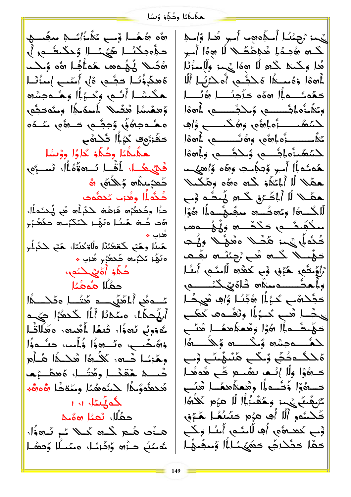هِدَّىدًا وحُكَّوْ وْسُا

هُه هُمُا وْبِ مُكْنُواْسُهِ مِكْسَمِ حَدُّهِ مِكْنُــا هَيُمُــال وُحكّمتُــور لَ هُجُمِلًا يُؤْمِنُ هُوَ أُهُمْ هُوَ وُحِكْمًا هُهدُوذُنُـا حَجُّــمِ هُل أَمّنب إمثرُنَــا هكْشَا أَنَّــهِ وَكُــرَّ أَلِ وَهُـــومِنْهِ وَحَمَّسُا مُتَّسَلًا لِمُمَّسَرًا وَسَّوَحَجَّمٍ ەھُـەجەُفَ ۆَجِجُــە حَـــەُّە مَــَـەُ حَفَّزُوهِ گَبُّµاً ثَكْشُ هكُنْدُمُا وِحُكُو كَاوُا ووْسُا فْهِيْ هَـٰـا، لَمُقْـالْ نَـْـەۋەلَمَالْ، نْسْـرُەب كَعْبُسْلُهِ وَلِلْكُلِّ هُ كُنُّه لُما وهُزم مُحقَّدت دَٰۥ وحَٰحمَٰٓٓٓہِ ہ هَٰٓءَهُۥ حکَّبِلُہ مَی لُحِمَّہ اُل هُد حُــهُ هُـنُـا هَنّهُـ: حَنَدٌبِــهِ حَنّهُـبُر هُذِمَ \* حَميلًا وحَمْدٍ كَحْقِقْتْنَا هِلَاوْحُتْدَا، حَمْدٍ حَكَوِلُم ه مَهَّ: مَلاَيَده حَكِمَّ و هُزب \* مَكَّوْ أَيْ لِمَكْمَى . حمُلًا هُوهُمْا تَسْمَعُو ٱلْمُكَلِّبِ هَ هُتُسَا هِ مُحْسَدًا أَبِيَٰحِكَا. مِمْكِنًا أَلَمَّا كَحِعَٰدًا حَيْحِهِ هُوْوِبُ نُهوُواْ، ثَنغُا لِمُعْنُدِهِ، وَهُلَّالْتُنا وْهُنصُب، ويُـــهوُّا وُلِّمب، حَثَــهوُّا وهَنْهُا دُهِ: ݣَلْدُهُا مْكَلُّهُ هُلْمُ دْسِيمْ هْقْنْسَار وَهُتُسَار، هُمْشَـــْرْهَا هُدهُوَمِدًا حَسْوَهُمَا وِمَقِدًا هُوَهُ ﴾ گەئمىئان ن حمُلًا، تَعْبُلِ ووَّى ھنُوں ھُے گھ کُملا کے تُسوؤًا، مُعْمَلُهِ حِنْزُهِ وَاضْرَسُلْ: مِمَّمِىلًا وَحِثْمِا

أَيْهِمَ تَرْجِمُنُمَا أَسْتِكُوهِ مِنْ أَسِيرِ هُمَا وَّاسِطِ كُم هُجِمًا مُدْهَدُ لَا هِمًا أُسِر مُعالِ وِكْمَةِ مَا هُمِ لَا مِهْمَا يُهِمَّ وَلَلِمُ مِنْ ذَلِ نْأَرْهَا وْهُمسْلَا هَكْشُمْ أُوْكْرُبُـا ٱلْأَ حَكَمتُــــه إِلَّا هؤه حَزَجتُـــا هُنُـــا كَمْتُمُكْتَبِ وَالْمَوْمِ وَالْمُكْتَبِ وُلَمْ تَمَكَّسْتُ وَاحَدَّةٍ وَجُمَعَتْ مِنْ مِنْ الْمَرْدَةِ لْمُتَمَّنُوا وَّــــمٍ وَّـكْمَـــمٍ وَالْمَوْةَ ا هَدَسْدَلَمَ أَسِبِ وَجَدَّسِتِ وَ20 وَ/20يَ ههَلا لْمَ إِيّهُو كُنْ هُ وَهُ وَهَكُمْلا ههَـــلا لْم أَلِمَــَـرَو كُـــــرو لِمُـحـَّــه وْب لَّاحُـــةُ الْجَمْعَـــةِ مِمْمِحْـــةِ الْمَوْا ممككَمتُـــــم، حَكْثَــــــم وَكَنُّـــــممب شُدُّمَيُّل يْهِمْ هُشْمًا هِ مُوشُلاً وَلَمِيتِ ثْرَاوَىقُومٍ هَبَرْقٍ نُوبٍ كَعَدُهِ لِلْمَسْوِمِ أَمِنُـلٍ بمستكركوةات مشممشه حَجَّدْهُــبِ كَــبُّأَ. هُكَنُـا وُّافٍ هَيْحُـا حكَمَدُ مَصَــبُمْأَا وَتَقُـــه¤ كَتَكَـــح حَكِّمَتُّــه}ُا هُوْا وِهُعَكُمْهَــا هُنَّــع لْمُسْسَوْمِنْدُو وُلْمُسْسِرُو وُلِلُسْسِرْوَا ەَ كَــُــەخُكَى وُمـُكــى هَنُبِهُبنَــى وْب حَــِهُوۡۤا وَلَا ﴾ِنُــَّفَ نَــُمَــَـمۡ خَــِ هُـَمَعُــا ۖ حَـــِهُوْا ذُكَّــوباًا وِهُعَـٰكُمْعِمُــا هُنَّـــع آَهُكُمْ ﴾ وَهُقَدُوا الْمَ أَمَّ وَهُوَ مَنْ اللَّهُ مِنْ اللَّهُ وَلَدَهُمْ وَلَا يَقْوَلُوا فَيَ كَكِنْدُو أَلَّا أَفِ هَزُمٍ حَيِّنَهُا هُجُوْ، وْبٍ كَعْدِهُمْ أَفِ لَّامِنُـمْ أَمِنُـا وَكُــْمِ حفًا حجَّداجٌ حقَّيْهُا أَا وَسِعَّمِهُا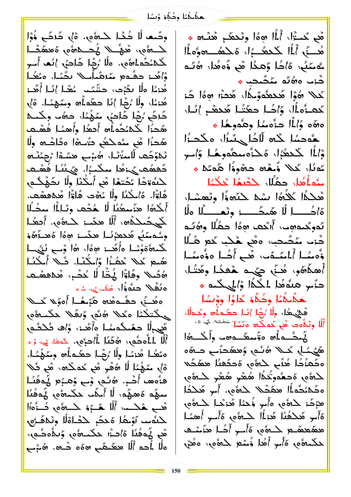هِدَّىدُمُّا وِجُدُوْ وْبِسُل

وِضُم لَا حُخْا كِلْوَى. ۞ حَرَضَ وَٰوْا لَكَ وَهُ مِنْ الْمَسْمَلَاتِ الْمُسْتَدَمَّةِ مِنْ الْمَسْتَدَمَّةِ مِنْ الْمَسْتَدَمَّةِ مِنْ الْ كْهْنُحُو اهُو.. ولَا رُجْل حَاجَهِ إِنَّف أُسِر وْاهْدْ حَقَّـٰهِ مَّاهُـلُمْـــلا بِحُـُـا. وَيُعْــا هُزِيُل ولَّا بِكَرْدٍ، حِتَّبَتِ - يُعْبَلُ إِنَّا أُهْدِ هُذِبًا. وِلَّا رُجْلٍ إِنَّا حِعَدَاْهِ وِحَمْهِمًا. وْلَىٰ كُلِّكُ رُجْلٍ كَلِّدُ، مَّهُمُّلُ: حَدُّبٍ وَكَسْمًا هُدَٰا ۖ كَٰٰٰٰٓ كُمُدُمْ أَن أَٰٓ مَعُدًا ۖ وَأُهمُمَا ۖ فَهُمِمَا ۖ هُدَٰۥ هُـ مُـُمحْعُی حَبَّـةُ مَحَّاضُـهِ وِلَٰا ثَلاَوُكُما لَّاسَتُرْتَا، هُنْبَ هِنَسَةَا رُحِنْتُه نصَهُمْ الْمُدْرَةِ ،ابْتَكْتُ الْمُنْتَرَ بِصَهْمَةَ َكِنُّوَدُا ۖ مُحْتَمْلِ مِّي أَيَدُّنَا ۖ وَلَٰا نِكَهْكُـ ِي قَاوْٓا. هُا كُمُلْ وِلًا ءُهْبَ قَاوْٓا هُدْهِهُبْ. أَحْدَٰهُ! هزَمعكُنُا لَٰا هُثْهِ وِنَـٰالُماْ مِحْـلًا كَبِيحُمِكِمُ ٥٠، أَلَمْا هِدَمَـ: كَـ هُ٠، أَحْهَـا وِشُومَنِّي هَٰذِيْرُنَٰـا هِنَّىــٰ; ﴿ وَٰهَا وَهِنَاهَ وَ لَّكُمْ وَوَّسْلُ وَأُهَّدَ وَوَوَّا. وَأَ وَّسَى نُزْيَٰ الْمَ هُىم كَلا نْمَٰٓءُا وُاۡتُكُلّا. شَلا ٱمْكُنُّا. هُضًى وقَاوْٓا بُخْا لًا عُضُرٍ. مُدْهِشُت ەئفَلا ھىئەۋَل: مَكَت: بْ. تْ م وهُنَّى حقَّدهُده هَبُعُما أُووَلا كَنْدَلا هَيٰ اللَّهِ حَمْدُ مِنْدا هِ أَهْدَى وَافٍ شَكْشُمٍ ۖ أَلَّا لِمَا مُحَمَّدٍ. وَمُحَمَّل لَمَ حَجَّمٍ. حُمْطَنَّ فِي قِيَّةٍ متَعُـا هُـٰٓ: اللَّهُ رُجْـا حمَّـه أَله ومَّـهُـُـا. ةْ)، مَكْهُمَّا لَّا هُفْرٍ مْعِ كَمِكْلِهِ، مْعِ ثَلا هِزُّهما أُضُّرٍ. هُنَّم وَّبٍ وَهـرُم لِمَهفُـُـل مَدَّمَةٌ هَجَمَةٌ. لَّا أَمَدُّتَ حَكْتُمَّةٍ لَمَحَقَّلَ ھُبِ هُكِسٍ ٱلْلَّهُمَّةِ وَ كُلُّهُ وَ أَوَلَا لحَدُّمب أَوُّبِكُل هُجَكْ لِكَتَبَاهُلًّا وَتَكَفَّرُونَ هْمِ لَمُوطُلُ هَاصِرْا حِكْسِيهُ وَبِرْوَهُوجُوبِ. ولًا أحد أَلَّا مِعْمِعٌبِ 300 دَّـِهِ. 354

هُم كُمِتْرًا، أَلَمَّا هِوَّا وِنْكِطَمٍ هُنْسُهِ \* هُــــنَ أَلَمُّا لَكَحِعُـــرًا. هَكَــهُـــــووُهِ أَل هُمَنُبُ: هَٰاَحُلَّ وَهَذَا هُمْ وَٰهِ هُدَا: هُ نَهِ دٛن ەھ*ۇڭ* مَكْتكىت پ كْمِلًا هُوْا مُحْمَدُومُكُا، مُحِبّْنِ هِهَا جَةِ كَعِدْهِ أَلْهِ وَٰٓاجُا حِعۡتُا مَحِعۡبِ إِنَّاۥ وهُو وُٱلْمَا حزُّومُهَا وهُومِعُا \* هُوَجِمُا ذَلِكَ الْمَالِيُ مِنْ الْمُوَجَّدَ الْمُوَجَّدَةِ الْمُوَجَّدَةِ الْمُوَجَّدَةِ الْمُوَجَ وْ} أَا كَحْمَٰدُ}. هَكَزُه مِمْهُوجُمَا وَ} مِنْ مُهلًا، كَمِلا وُمِعْدِهِ حدَّووُا هَمَكُمْ \* مِثَولُمُولِ حِمُلًا، كِضْعُلِ كَكْتُلِ مْكِمًا كَلُّهًا بِشْمْ كِنُوذًا ونْعِشَا. تُموكُموهِم، أَآتُها هِوْا حَقُّلًا وَهُنَّـه دْ: مَكْسَحِينَ وَهْمِ هُكِينَ كَبَعَ هُلُل وْدَمْـا ٱلْمَـْـدَّىـ: ۚ هُبِ ٱُدَّـا دوْدَمْـا أهلَمهُو. هُـنٌ دَيْ؎ هُـْدُـا وهُتُـا. دَّسِ هِنَّەهُا لِمُكُمُّا وَّالِمَحْمَّدِ \* بعدَّمدُّمُا وحُكَّوْ كَاوُا ووْيْمَا هُمْكِ هُا. وَلَا يُهْا إِنُنَا حَقَّـهَ أَنْ وَجَـهَ لَهْ.<br>ٱلْهِ وَتَمَّاهَ حَاجَةٍ كَعَمَدُهِ وَيُسْلاَ عَنْقَاتِهِ ﴾ ؛ ؛ لَّمَدُّے اُنَّ مَتَّصِمًا وَمِنْ وَأَكْلَّةُ ا هُهُمَالٍ كَمِلًا هُنُمٍ وَهُهُدَّبٍ حَسَّهُ وَحَمَزُهُا هُرًى لِهُ وَوَحَقِيًا مِعَمَد لحدَّى هَ حَمَّمُوتُكُما هُعْدِ هُعْدِ لَحَدَّى ەكْمْنُحُّەلُّا مْكَضْلا كْمُّەر، أْسِ مُّكْتُل هَبَكُ لَحَدُّهِ وأُسٍ وُحِمًا هُوَكُمَا كَلَّهُمْ كَأَسِ هَٰلِكُفُا هَٰذِلَٰا لِمَــٰهُمِ كَأَسِرٍ أُهْسًا معَمْعِهُــم لِـــوهُ مِ أَمْــوٍ أَحُــا مِنَمْــْـف حكَّمةً مِ أَمَّاسٍ أَهْلَ وُسْمَعٍ لَحْدَةً مِ وَهُنِّي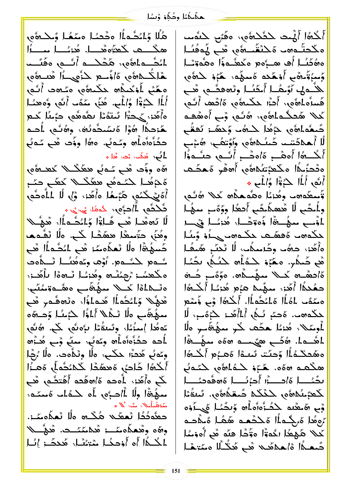هِدَّىدًا وَحُكَّوْ وْسَا

هُلًا وَٰٓاءُشَـٰهِ أَل هِ شَمْـٰل وَمِّـٰهُمْ وَمِـٰلِّـوَّہِ ۖ ھڭـــە كَعَثَرُهُـــا. هُزئـــا مـــــرُا لمُدُّے، هُدُکے أُنُّے وَفَيَّ هْلِتُكُمْهُمْ، هَٰلُؤُسِعِ كِنُوْسِيرًا هُنسْهُم، هِ هُمْ أُوْتُدِهُ لَا حَكْمَةً مِنْ مَدْهِدَ أَنَّفَى أُمَّا جِبْوَّا وُاْمُّبِ. هُنِّي مَعْقَب أَنَّى وُّەھنُـا هُكُذ: حَكَّمَ اللَّهُ مَعْمَدُ النَّصَلَّ النَّصَلَّ النَّصَلَّ اللَّهَ مَعَهُ اللَّهُ مِنْ النَّصَ هُ;حَدًّا هُوْا هُسْجُونُهُ: وِهُنُّمٍ لَمَحَد حَدُّوْهُ أَمَّا وَعُدْبُ. وَهُ أَوْفَ هُبِ عُدْبُ لم الله: هَجَمَا الله عليه الله 6ه، وَوَد شَبِ سَمْلٍ مَنفَكْلاً لَمَعْدَهُ، هُدَمُدا لکندمُکِ مَعَلَّلًا کَمَکِ حَسَر رْصَامَا لِلْهِ مِنْكُمْ وَكَسْتُمْ وَكُلَّكَ وَكُلَّا لِلْهُ وَكُلِّكَ وَكُلَّا لِلْهِ وَكُلَّا لِ شَكْشُهِ أَأَحَرُهِ مِنْ كَمِمًا مِنْ اللَّهِ مِنْ الْمَجْمَعِينَ مِنْ الْمَجْمَعِينَ مِنْ مِنْ مِنْ لًا نَحفَــا مَــع فَـارْٓا وَاءُشُــٰء اُا. مَٰذُــٰـا وهُنِّي حتَّمهْا ههُصْا كُلِّي. ولَا تَقْدِم كَسِهُرَةُا وَلَا تَعَدَّوهُمْ: قَبِ النُصُّوَاُ قَبِ شُــوم للنُــوم. ٱوْها وهُوَهُــا لَـــدْوِد مكْعِسُة رْجِئْلُه وهُذِئا لْـهِهْا بِأَهْدِ: ەنْساۋا كىلا مەھ قى مەھ دەنمىلە مْدِيَّـٰ ۖ وَ*ٰٓاءُدُهَٰٓ أَ*ا مَحْـٰهَآءُۚ! وَيُوَهُّـٰهِ ۖ مَّـٰـِ مهُنَّفَ هِ الْمُحَمَّلَاتُ أَمْلَا لَهُمْ الْمُحَمَّدِ الْمُحَمَّدِينَ مِنْ الْمُحْمَدِينَ عْمَعُطِ إِسْئِيْلِ وِتَبِيقُهَا بِرَّوفُو كُلْ هُنُو لَمْدَ حَدُّوْهُ أَمَّالُو وِعَدْبُ: مَنْ وَمِن هُــٰٓوَاهِ وعَه بُه هَدْ: لمكَّبٍ: هلَّا ونْدُّهِت. هلَّا رُضًا أَكْشًا حَاحيُ هَمهُمْا كَدْعُهُمْ هَمَ أ لَّحِ وأَهَّدَ: لِمُوحِد وَ وَاهوَهُده أَهْتِشُم، هُبِ مَعَ اللَّهُ أَادِيَّهِ ۚ لَمَ حَدَّمَكَ وَصَدَهِ. دهْدَدُا نْعطَى هُكْتُ هُلْ نْعَمُومَيْ:. وقه وقعكه مَف; قدامَمَنْــد. قُدْنَــد لْكُمُّا أَه أَوْحِكُمْ مْبَنْشَا، هُدَخَّ إِنَّا

أَكْشَا أَيْمُتْ حَثَّحْتَوْهِ، وَفَيَّن حَنَّفَتْ مكْحتُّــه مَــدْغُبْــ مُّـم مُّــم لِّـمِ هُــلُّــــ لِّـمِّـــهُ لِ هِ وَهُكُنُــا أُهِ هَــرُّهِ مِ كَعِنُــهِ وَا هِ مِهْوَيْــا وَسَيُقُوهُم أَوْهَدُه هُمِيهُهِ: هُبُوْ لِحَدَّةُ و للنُّــمِـلِ أَوۡـمُــا أَمَمُـُـا وِنۡمَعشَــم مْـــع فَسِرُّه اهُورٍ. أَحِزْرِ حَكْمِهُورٍ وَاضْهَمْ أَنَّفِي كلا هُمْكُماهُون هُنُو وُبِ أُوهُمْ ضَعْدَاهُوں حَرْهُا كَلُّهُ وَحَهُمْ تَعْقُمُ لَّا أَهلاَكْتَبَ شَيَاءِهُمْ وَأَوْتِقُبٍ، هُبْب أَكْــةَا أَوهْبِ وَاوِضْبِ أَنَّــهِ صَنَّــووًّا ەئدَئىمَّا مَكْعَبَّتْنَاھُو أَھوَ مُعَصَّم أَبُّ أَلَمَّا جَبْوًّا وُالْمَعِ \* وَمُعَكّدها وهُنمُا هِ هُدُهُ هَدُ اللّهُ هُدًا لَهُ مُ وأُمثَى لَا مُتَعَذِّمَتُ أَنْقَا وَوُءٌ ۖ مَثَىٰ ا لمؤْسِبِ مِمِهُــِـرَةُ الْهُوَوْشَــا وَهُدَيْــا وَيْنِـــا بللّماهما ةههّما بمكّما بمسترد ومنار هأَهُدْ: حَقُفٍ وَخَامِيكُو: لَا نَحْتُمِ هَٰبِيقَال ھُے کُنگُر، مَغَّزَوْ لَکُنُاُ لَکُنگُ نَکُنَا كَاكْتُمْ مِنْ كَمِيلًا مِمْ يَكْتُمْ وَجَمْعِ وَمُ كُمْتَ وَجَمْعَةِ حمُددًا أَهُنَ مِيمَدا هَزْمٍ هُنَا أَكْرَهُ! ەممّەً خامَلًا مَامُحُملًا. أَحْدُا وْبِ وَْسْعِر حكّموم. هُجِمْ نُجُل أَلْمُأَهُد: كَبْوُمْ: لَّا أُومَٰىٰ\، هُٰزِمًا هكُم حُلِ مِهَِٰقَٰىٰبِ وَلَٰا اَشَــــهُمه مصَــــه صِــــهُم مثل مثل ەھُدڭدۇا ۇدىّت ئىندا ەھۇم أىڭىغا هلْكمه «هُو، هُجْوْ لِمُهْلِهُ» لِمَعْمَلُو ىكَنُـــا ةَ\حـــــْ;ْ1 أُحرُنُـــا ةَھڤُوصُـــا ݣﯩﯟﯨﻨﮕﯩﯟﻩ, ﻜﯘﯕﻜﯩ ﺧﯩﻘﮕﯩﯟﻩ, ﺋﯩﻨﻐْﺜﺎ وْمِ هَٰمِثْنِهِ حَدُّزُهِۥُهِ أَمَّ وَنِصَّا يَهْدُوْهِ مُوهُل هُرِجُـداُل هَـحْـفـد هَمْكُـل هُـمْدَـد كَنْكَ هُوْهُا الْحُورْا وَوْْشَا فِنُه فْيَ أُوفِظَ شَعِمًا هُاهِهَمَد هُــِ مَٰتُكُمُّا مِمْتِهَـا